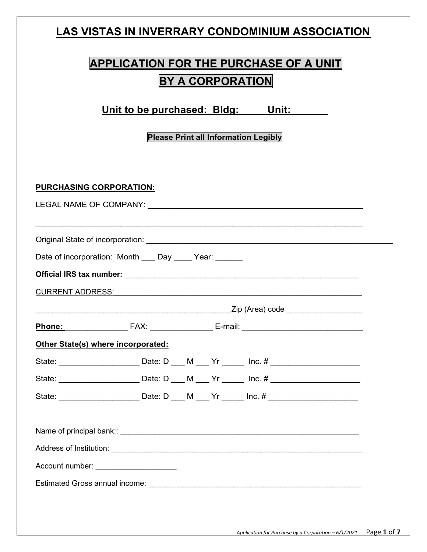### LAS VISTAS IN INVERRARY CONDOMINIUM ASSOCIATION

| <b>APPLICATION FOR THE PURCHASE OF A UNIT</b> |
|-----------------------------------------------|
| <b>BY A CORPORATION</b>                       |

Unit to be purchased: Bldg: Unit:

Please Print all Information Legibly

PURCHASING CORPORATION:<br>LEGAL NAME OF COMPANY: Original State of incorporation: \_\_\_\_\_\_\_\_\_\_\_\_\_\_\_\_\_\_\_\_\_\_\_\_\_\_\_\_\_\_\_\_\_\_\_\_\_\_\_\_\_\_\_\_\_\_\_\_\_\_\_\_\_\_\_ Date of incorporation: Month \_\_\_ Day \_\_\_\_ Year: \_\_\_\_\_ Official IRS tax number: \_\_\_\_\_\_\_\_\_\_\_\_\_\_\_\_\_\_\_\_\_\_\_\_\_\_\_\_\_\_\_\_\_\_\_\_\_\_\_\_\_\_\_\_\_\_\_\_\_\_\_\_\_\_\_ CURRENT ADDRESS: The contract of the contract of the contract of the contract of the contract of the contract of the contract of the contract of the contract of the contract of the contract of the contract of the contract

| Dh |  |  |
|----|--|--|
|    |  |  |

### Other State(s) where incorporated:

| State: | Date: D | M | Yr | $Inc.$ # |  |
|--------|---------|---|----|----------|--|
| State: | Date: D | M | Yr | $Inc.$ # |  |
| State: | Date: D | M | Yr | $Inc.$ # |  |

 $Zip$  (Area) code  $\Box$ 

Name of principal bank::  $\blacksquare$ Address of Institution: **Address of Institution: Address of Institution:** 

Account number: \_\_\_\_\_\_\_\_\_\_\_\_\_\_\_\_\_\_\_

Estimated Gross annual income: \_\_\_\_\_\_\_\_\_\_\_\_\_\_\_\_\_\_\_\_\_\_\_\_\_\_\_\_\_\_\_\_\_\_\_\_\_\_\_\_\_\_\_\_\_\_\_\_\_\_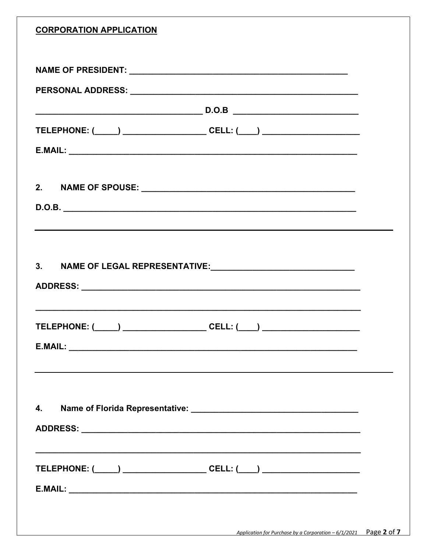| <b>CORPORATION APPLICATION</b>                                                   |                                                                                  |  |
|----------------------------------------------------------------------------------|----------------------------------------------------------------------------------|--|
|                                                                                  |                                                                                  |  |
|                                                                                  |                                                                                  |  |
|                                                                                  |                                                                                  |  |
| TELEPHONE: (_____) __________________________CELL: (____) ______________________ |                                                                                  |  |
|                                                                                  |                                                                                  |  |
|                                                                                  |                                                                                  |  |
|                                                                                  |                                                                                  |  |
|                                                                                  |                                                                                  |  |
|                                                                                  | ,我们也不会有什么。""我们的人,我们也不会有什么?""我们的人,我们也不会有什么?""我们的人,我们也不会有什么?""我们的人,我们也不会有什么?""我们的人 |  |
|                                                                                  |                                                                                  |  |
|                                                                                  |                                                                                  |  |
|                                                                                  |                                                                                  |  |
|                                                                                  |                                                                                  |  |
| TELEPHONE: (_____) _______________________CELL: (____) _________________________ |                                                                                  |  |
|                                                                                  |                                                                                  |  |
|                                                                                  |                                                                                  |  |
|                                                                                  |                                                                                  |  |
| 4.                                                                               |                                                                                  |  |
|                                                                                  |                                                                                  |  |
|                                                                                  |                                                                                  |  |
|                                                                                  |                                                                                  |  |
| TELEPHONE: (_____) ________________________CELL: (____) ________________________ |                                                                                  |  |
|                                                                                  |                                                                                  |  |
|                                                                                  |                                                                                  |  |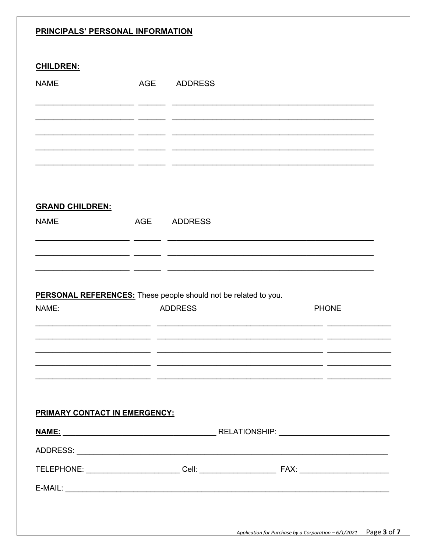### PRINCIPALS' PERSONAL INFORMATION

### **CHILDREN:**

| <b>NAME</b>                                                     | <b>AGE</b> | <b>ADDRESS</b> |              |
|-----------------------------------------------------------------|------------|----------------|--------------|
|                                                                 |            |                |              |
|                                                                 |            |                |              |
|                                                                 |            |                |              |
|                                                                 |            |                |              |
| <b>GRAND CHILDREN:</b>                                          |            |                |              |
| <b>NAME</b>                                                     | <b>AGE</b> | <b>ADDRESS</b> |              |
|                                                                 |            |                |              |
|                                                                 |            |                |              |
| PERSONAL REFERENCES: These people should not be related to you. |            |                |              |
| NAME:                                                           |            | <b>ADDRESS</b> | <b>PHONE</b> |
|                                                                 |            |                |              |
|                                                                 |            |                |              |
|                                                                 |            |                |              |
|                                                                 |            |                |              |
| PRIMARY CONTACT IN EMERGENCY:                                   |            |                |              |
|                                                                 |            |                |              |
|                                                                 |            |                |              |
|                                                                 |            |                |              |
| $E-MAIL:$                                                       |            |                |              |
|                                                                 |            |                |              |
|                                                                 |            |                |              |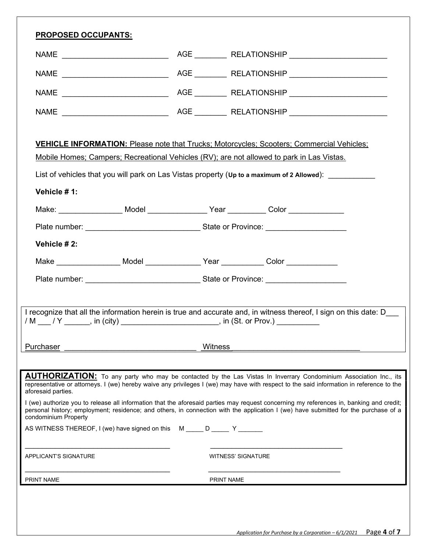| <b>VEHICLE INFORMATION:</b> Please note that Trucks; Motorcycles; Scooters; Commercial Vehicles;<br>Mobile Homes; Campers; Recreational Vehicles (RV); are not allowed to park in Las Vistas.<br>List of vehicles that you will park on Las Vistas property (Up to a maximum of 2 Allowed): _________<br>Vehicle #1:<br>Make: ____________________ Model ___________________Year ___________ Color ________________<br>Vehicle #2:<br>Make ___________________ Model _________________ Year ____________ Color _____________<br>I recognize that all the information herein is true and accurate and, in witness thereof, I sign on this date: D<br>/ M ___ / Y _______, in (city) ________________________, in (St. or Prov.) _________<br>Witness<br>Purchaser<br><b>AUTHORIZATION:</b> To any party who may be contacted by the Las Vistas In Inverrary Condominium Association Inc., its<br>representative or attorneys. I (we) hereby waive any privileges I (we) may have with respect to the said information in reference to the<br>aforesaid parties.<br>I (we) authorize you to release all information that the aforesaid parties may request concerning my references in, banking and credit;<br>personal history; employment; residence; and others, in connection with the application I (we) have submitted for the purchase of a<br>condominium Property<br>AS WITNESS THEREOF, I (we) have signed on this M _____ D _____ Y _______<br><b>APPLICANT'S SIGNATURE</b><br><b>WITNESS' SIGNATURE</b><br>PRINT NAME<br>PRINT NAME | <b>PROPOSED OCCUPANTS:</b> |  |  |  |  |  |
|-----------------------------------------------------------------------------------------------------------------------------------------------------------------------------------------------------------------------------------------------------------------------------------------------------------------------------------------------------------------------------------------------------------------------------------------------------------------------------------------------------------------------------------------------------------------------------------------------------------------------------------------------------------------------------------------------------------------------------------------------------------------------------------------------------------------------------------------------------------------------------------------------------------------------------------------------------------------------------------------------------------------------------------------------------------------------------------------------------------------------------------------------------------------------------------------------------------------------------------------------------------------------------------------------------------------------------------------------------------------------------------------------------------------------------------------------------------------------------------------------------------------------------------------------|----------------------------|--|--|--|--|--|
|                                                                                                                                                                                                                                                                                                                                                                                                                                                                                                                                                                                                                                                                                                                                                                                                                                                                                                                                                                                                                                                                                                                                                                                                                                                                                                                                                                                                                                                                                                                                               |                            |  |  |  |  |  |
|                                                                                                                                                                                                                                                                                                                                                                                                                                                                                                                                                                                                                                                                                                                                                                                                                                                                                                                                                                                                                                                                                                                                                                                                                                                                                                                                                                                                                                                                                                                                               |                            |  |  |  |  |  |
|                                                                                                                                                                                                                                                                                                                                                                                                                                                                                                                                                                                                                                                                                                                                                                                                                                                                                                                                                                                                                                                                                                                                                                                                                                                                                                                                                                                                                                                                                                                                               |                            |  |  |  |  |  |
|                                                                                                                                                                                                                                                                                                                                                                                                                                                                                                                                                                                                                                                                                                                                                                                                                                                                                                                                                                                                                                                                                                                                                                                                                                                                                                                                                                                                                                                                                                                                               |                            |  |  |  |  |  |
|                                                                                                                                                                                                                                                                                                                                                                                                                                                                                                                                                                                                                                                                                                                                                                                                                                                                                                                                                                                                                                                                                                                                                                                                                                                                                                                                                                                                                                                                                                                                               |                            |  |  |  |  |  |
|                                                                                                                                                                                                                                                                                                                                                                                                                                                                                                                                                                                                                                                                                                                                                                                                                                                                                                                                                                                                                                                                                                                                                                                                                                                                                                                                                                                                                                                                                                                                               |                            |  |  |  |  |  |
|                                                                                                                                                                                                                                                                                                                                                                                                                                                                                                                                                                                                                                                                                                                                                                                                                                                                                                                                                                                                                                                                                                                                                                                                                                                                                                                                                                                                                                                                                                                                               |                            |  |  |  |  |  |
|                                                                                                                                                                                                                                                                                                                                                                                                                                                                                                                                                                                                                                                                                                                                                                                                                                                                                                                                                                                                                                                                                                                                                                                                                                                                                                                                                                                                                                                                                                                                               |                            |  |  |  |  |  |
|                                                                                                                                                                                                                                                                                                                                                                                                                                                                                                                                                                                                                                                                                                                                                                                                                                                                                                                                                                                                                                                                                                                                                                                                                                                                                                                                                                                                                                                                                                                                               |                            |  |  |  |  |  |
|                                                                                                                                                                                                                                                                                                                                                                                                                                                                                                                                                                                                                                                                                                                                                                                                                                                                                                                                                                                                                                                                                                                                                                                                                                                                                                                                                                                                                                                                                                                                               |                            |  |  |  |  |  |
|                                                                                                                                                                                                                                                                                                                                                                                                                                                                                                                                                                                                                                                                                                                                                                                                                                                                                                                                                                                                                                                                                                                                                                                                                                                                                                                                                                                                                                                                                                                                               |                            |  |  |  |  |  |
|                                                                                                                                                                                                                                                                                                                                                                                                                                                                                                                                                                                                                                                                                                                                                                                                                                                                                                                                                                                                                                                                                                                                                                                                                                                                                                                                                                                                                                                                                                                                               |                            |  |  |  |  |  |
|                                                                                                                                                                                                                                                                                                                                                                                                                                                                                                                                                                                                                                                                                                                                                                                                                                                                                                                                                                                                                                                                                                                                                                                                                                                                                                                                                                                                                                                                                                                                               |                            |  |  |  |  |  |
|                                                                                                                                                                                                                                                                                                                                                                                                                                                                                                                                                                                                                                                                                                                                                                                                                                                                                                                                                                                                                                                                                                                                                                                                                                                                                                                                                                                                                                                                                                                                               |                            |  |  |  |  |  |
|                                                                                                                                                                                                                                                                                                                                                                                                                                                                                                                                                                                                                                                                                                                                                                                                                                                                                                                                                                                                                                                                                                                                                                                                                                                                                                                                                                                                                                                                                                                                               |                            |  |  |  |  |  |
|                                                                                                                                                                                                                                                                                                                                                                                                                                                                                                                                                                                                                                                                                                                                                                                                                                                                                                                                                                                                                                                                                                                                                                                                                                                                                                                                                                                                                                                                                                                                               |                            |  |  |  |  |  |
|                                                                                                                                                                                                                                                                                                                                                                                                                                                                                                                                                                                                                                                                                                                                                                                                                                                                                                                                                                                                                                                                                                                                                                                                                                                                                                                                                                                                                                                                                                                                               |                            |  |  |  |  |  |
|                                                                                                                                                                                                                                                                                                                                                                                                                                                                                                                                                                                                                                                                                                                                                                                                                                                                                                                                                                                                                                                                                                                                                                                                                                                                                                                                                                                                                                                                                                                                               |                            |  |  |  |  |  |
|                                                                                                                                                                                                                                                                                                                                                                                                                                                                                                                                                                                                                                                                                                                                                                                                                                                                                                                                                                                                                                                                                                                                                                                                                                                                                                                                                                                                                                                                                                                                               |                            |  |  |  |  |  |
|                                                                                                                                                                                                                                                                                                                                                                                                                                                                                                                                                                                                                                                                                                                                                                                                                                                                                                                                                                                                                                                                                                                                                                                                                                                                                                                                                                                                                                                                                                                                               |                            |  |  |  |  |  |
|                                                                                                                                                                                                                                                                                                                                                                                                                                                                                                                                                                                                                                                                                                                                                                                                                                                                                                                                                                                                                                                                                                                                                                                                                                                                                                                                                                                                                                                                                                                                               |                            |  |  |  |  |  |
|                                                                                                                                                                                                                                                                                                                                                                                                                                                                                                                                                                                                                                                                                                                                                                                                                                                                                                                                                                                                                                                                                                                                                                                                                                                                                                                                                                                                                                                                                                                                               |                            |  |  |  |  |  |
|                                                                                                                                                                                                                                                                                                                                                                                                                                                                                                                                                                                                                                                                                                                                                                                                                                                                                                                                                                                                                                                                                                                                                                                                                                                                                                                                                                                                                                                                                                                                               |                            |  |  |  |  |  |
|                                                                                                                                                                                                                                                                                                                                                                                                                                                                                                                                                                                                                                                                                                                                                                                                                                                                                                                                                                                                                                                                                                                                                                                                                                                                                                                                                                                                                                                                                                                                               |                            |  |  |  |  |  |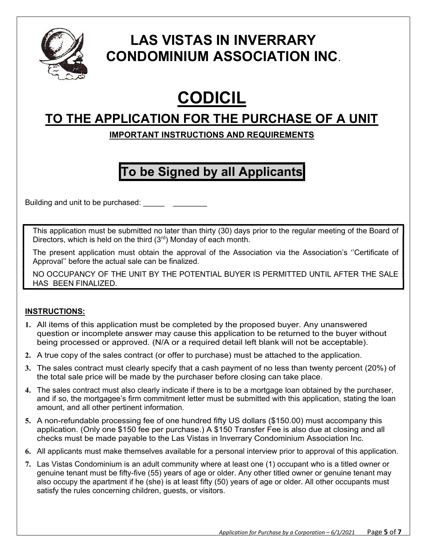

### LAS VISTAS IN INVERRARY CONDOMINIUM ASSOCIATION INC.

# CODICIL

### TO THE APPLICATION FOR THE PURCHASE OF A UNIT

### IMPORTANT INSTRUCTIONS AND REQUIREMENTS

## To be Signed by all Applicants

Building and unit to be purchased: \_\_\_\_\_\_\_\_\_\_

This application must be submitted no later than thirty (30) days prior to the regular meeting of the Board of Directors, which is held on the third  $(3<sup>rd</sup>)$  Monday of each month.

The present application must obtain the approval of the Association via the Association's ''Certificate of Approval'' before the actual sale can be finalized.

NO OCCUPANCY OF THE UNIT BY THE POTENTIAL BUYER IS PERMITTED UNTIL AFTER THE SALE HAS BEEN FINALIZED.

### INSTRUCTIONS:

- **1.** All items of this application must be completed by the proposed buyer. Any unanswered question or incomplete answer may cause this application to be returned to the buyer without being processed or approved. (N/A or a required detail left blank will not be acceptable).
- **2.** A true copy of the sales contract (or offer to purchase) must be attached to the application.
- **3.** The sales contract must clearly specify that a cash payment of no less than twenty percent (20%) of the total sale price will be made by the purchaser before closing can take place.
- **4.** The sales contract must also clearly indicate if there is to be a mortgage loan obtained by the purchaser, and if so, the mortgagee's firm commitment letter must be submitted with this application, stating the loan amount, and all other pertinent information.
- **5.** A non-refundable processing fee of one hundred fifty US dollars (\$150.00) must accompany this application. (Only one \$150 fee per purchase.) A \$150 Transfer Fee is also due at closing and all checks must be made payable to the Las Vistas in Inverrary Condominium Association Inc.
- **6.** All applicants must make themselves available for a personal interview prior to approval of this application.
- **7.** Las Vistas Condominium is an adult community where at least one (1) occupant who is a titled owner or genuine tenant must be fifty-five (55) years of age or older. Any other titled owner or genuine tenant may also occupy the apartment if he (she) is at least fifty (50) years of age or older. All other occupants must satisfy the rules concerning children, guests, or visitors.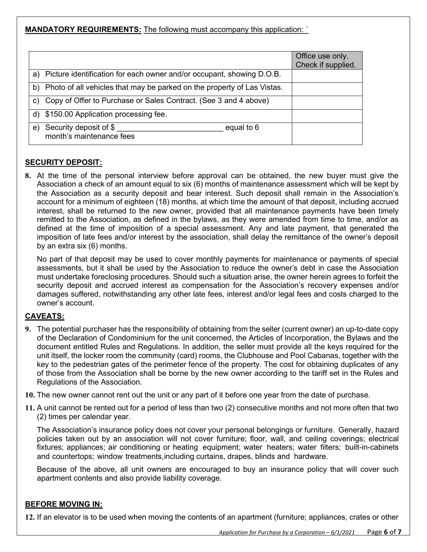MANDATORY REQUIREMENTS: The following must accompany this application: `

|                                                                            | Office use only.<br>Check if supplied. |
|----------------------------------------------------------------------------|----------------------------------------|
| a) Picture identification for each owner and/or occupant, showing D.O.B.   |                                        |
| b) Photo of all vehicles that may be parked on the property of Las Vistas. |                                        |
| Copy of Offer to Purchase or Sales Contract. (See 3 and 4 above)<br>C)     |                                        |
| d) \$150.00 Application processing fee.                                    |                                        |
| Security deposit of \$<br>equal to 6<br>e)<br>month's maintenance fees     |                                        |

### SECURITY DEPOSIT:

8. At the time of the personal interview before approval can be obtained, the new buyer must give the Association a check of an amount equal to six (6) months of maintenance assessment which will be kept by the Association as a security deposit and bear interest. Such deposit shall remain in the Association's account for a minimum of eighteen (18) months, at which time the amount of that deposit, including accrued interest, shall be returned to the new owner, provided that all maintenance payments have been timely remitted to the Association, as defined in the bylaws, as they were amended from time to time, and/or as defined at the time of imposition of a special assessment. Any and late payment, that generated the imposition of late fees and/or interest by the association, shall delay the remittance of the owner's deposit by an extra six (6) months.

No part of that deposit may be used to cover monthly payments for maintenance or payments of special assessments, but it shall be used by the Association to reduce the owner's debt in case the Association must undertake foreclosing procedures. Should such a situation arise, the owner herein agrees to forfeit the security deposit and accrued interest as compensation for the Association's recovery expenses and/or damages suffered, notwithstanding any other late fees, interest and/or legal fees and costs charged to the owner's account.

### CAVEATS:

- 9. The potential purchaser has the responsibility of obtaining from the seller (current owner) an up-to-date copy of the Declaration of Condominium for the unit concerned, the Articles of Incorporation, the Bylaws and the document entitled Rules and Regulations. In addition, the seller must provide all the keys required for the unit itself, the locker room the community (card) rooms, the Clubhouse and Pool Cabanas, together with the key to the pedestrian gates of the perimeter fence of the property. The cost for obtaining duplicates of any of those from the Association shall be borne by the new owner according to the tariff set in the Rules and Regulations of the Association.
- 10. The new owner cannot rent out the unit or any part of it before one year from the date of purchase.
- 11. A unit cannot be rented out for a period of less than two (2) consecutive months and not more often that two (2) times per calendar year.

The Association's insurance policy does not cover your personal belongings or furniture. Generally, hazard policies taken out by an association will not cover furniture; floor, wall, and ceiling coverings; electrical fixtures; appliances; air conditioning or heating equipment; water heaters; water filters; built-in-cabinets and countertops; window treatments, including curtains, drapes, blinds and hardware.

Because of the above, all unit owners are encouraged to buy an insurance policy that will cover such apartment contents and also provide liability coverage.

#### BEFORE MOVING IN:

12. If an elevator is to be used when moving the contents of an apartment (furniture; appliances, crates or other